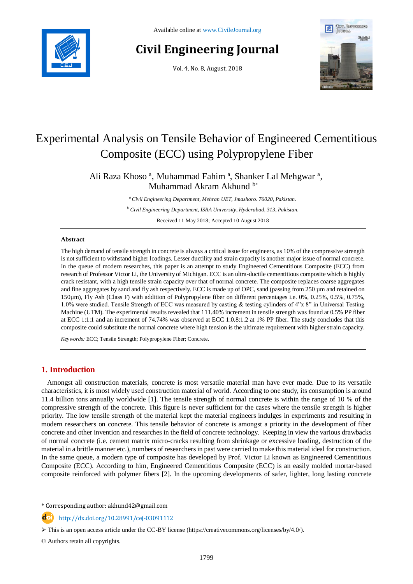

# **Civil Engineering Journal**

Vol. 4, No. 8, August, 2018



# Experimental Analysis on Tensile Behavior of Engineered Cementitious Composite (ECC) using Polypropylene Fiber

Ali Raza Khoso<sup>a</sup>, Muhammad Fahim<sup>a</sup>, Shanker Lal Mehgwar<sup>a</sup>, Muhammad Akram Akhund <sup>b</sup>\*

> *<sup>a</sup>Civil Engineering Department, Mehran UET, Jmashoro. 76020, Pakistan. <sup>b</sup> Civil Engineering Department, ISRA University, Hyderabad, 313, Pakistan.*

> > Received 11 May 2018; Accepted 10 August 2018

### **Abstract**

The high demand of tensile strength in concrete is always a critical issue for engineers, as 10% of the compressive strength is not sufficient to withstand higher loadings. Lesser ductility and strain capacity is another major issue of normal concrete. In the queue of modern researches, this paper is an attempt to study Engineered Cementitious Composite (ECC) from research of Professor Victor Li, the University of Michigan. ECC is an ultra-ductile cementitious composite which is highly crack resistant, with a high tensile strain capacity over that of normal concrete. The composite replaces coarse aggregates and fine aggregates by sand and fly ash respectively. ECC is made up of OPC, sand (passing from 250 µm and retained on 150µm), Fly Ash (Class F) with addition of Polypropylene fiber on different percentages i.e. 0%, 0.25%, 0.5%, 0.75%, 1.0% were studied. Tensile Strength of ECC was measured by casting & testing cylinders of 4"x 8" in Universal Testing Machine (UTM). The experimental results revealed that 111.40% increment in tensile strength was found at 0.5% PP fiber at ECC 1:1:1 and an increment of 74.74% was observed at ECC 1:0.8:1.2 at 1% PP fiber. The study concludes that this composite could substitute the normal concrete where high tension is the ultimate requirement with higher strain capacity.

*Keywords:* ECC; Tensile Strength; Polypropylene Fiber; Concrete.

# **1. Introduction**

Amongst all construction materials, concrete is most versatile material man have ever made. Due to its versatile characteristics, it is most widely used construction material of world. According to one study, its consumption is around 11.4 billion tons annually worldwide [1]. The tensile strength of normal concrete is within the range of 10 % of the compressive strength of the concrete. This figure is never sufficient for the cases where the tensile strength is higher priority. The low tensile strength of the material kept the material engineers indulges in experiments and resulting in modern researchers on concrete. This tensile behavior of concrete is amongst a priority in the development of fiber concrete and other invention and researches in the field of concrete technology. Keeping in view the various drawbacks of normal concrete (i.e. cement matrix micro-cracks resulting from shrinkage or excessive loading, destruction of the material in a brittle manner etc.), numbers of researchers in past were carried to make this material ideal for construction. In the same queue, a modern type of composite has developed by Prof. Victor Li known as Engineered Cementitious Composite (ECC). According to him, Engineered Cementitious Composite (ECC) is an easily molded mortar-based composite reinforced with polymer fibers [2]. In the upcoming developments of safer, lighter, long lasting concrete

\* Corresponding author: akhund42@gmail.com

http://dx.doi.org/10.28991/cej-03091112

© Authors retain all copyrights.

l

 $\triangleright$  This is an open access article under the CC-BY license [\(https://creativecommons.org/licenses/by/4.0/\)](https://creativecommons.org/licenses/by/4.0/).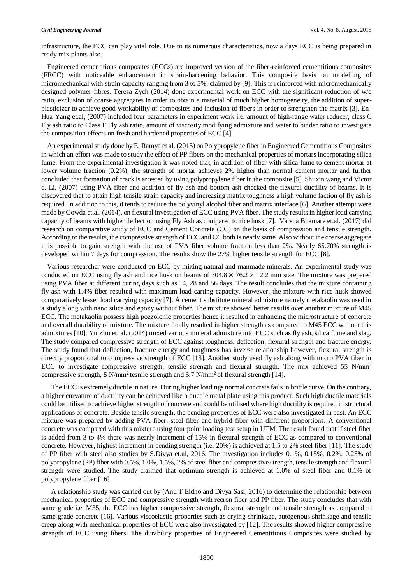infrastructure, the ECC can play vital role. Due to its numerous characteristics, now a days ECC is being prepared in ready mix plants also.

Engineered cementitious composites (ECCs) are improved version of the fiber-reinforced cementitious composites (FRCC) with noticeable enhancement in strain-hardening behavior. This composite basis on modelling of micromechanical with strain capacity ranging from 3 to 5%, claimed by [9]. This is reinforced with micromechanically designed polymer fibres. Teresa Zych (2014) done experimental work on ECC with the significant reduction of w/c ratio, exclusion of coarse aggregates in order to obtain a material of much higher homogeneity, the addition of superplasticizer to achieve good workability of composites and inclusion of fibers in order to strengthen the matrix [3]. En-Hua Yang et.al, (2007) included four parameters in experiment work i.e. amount of high-range water reducer, class C Fly ash ratio to Class F Fly ash ratio, amount of viscosity modifying admixture and water to binder ratio to investigate the composition effects on fresh and hardened properties of ECC [4].

An experimental study done by E. Ramya et al. (2015) on Polypropylene fiber in Engineered Cementitious Composites in which an effort was made to study the effect of PP fibers on the mechanical properties of mortars incorporating silica fume. From the experimental investigation it was noted that, in addition of fiber with silica fume to cement mortar at lower volume fraction (0.2%), the strength of mortar achieves 2% higher than normal cement mortar and further concluded that formation of crack is arrested by using polypropylene fiber in the composite [5]. Shuxin wang and Victor c. Li. (2007) using PVA fiber and addition of fly ash and bottom ash checked the flexural ductility of beams. It is discovered that to attain high tensile strain capacity and increasing matrix toughness a high volume faction of fly ash is required. In addition to this, it tends to reduce the polyvinyl alcohol fiber and matrix interface [6]. Another attempt were made by Gowda et.al. (2014), on flexural investigation of ECC using PVA fiber. The study results in higher load carrying capacity of beams with higher deflection using Fly Ash as compared to rice husk [7]. Varsha Bhamare et.al. (2017) did research on comparative study of ECC and Cement Concrete (CC) on the basis of compression and tensile strength. According to the results, the compressive strength of ECC and CC both is nearly same. Also without the coarse aggregate it is possible to gain strength with the use of PVA fiber volume fraction less than 2%. Nearly 65.70% strength is developed within 7 days for compression. The results show the 27% higher tensile strength for ECC [8].

Various researcher were conducted on ECC by mixing natural and manmade minerals. An experimental study was conducted on ECC using fly ash and rice husk on beams of  $304.8 \times 76.2 \times 12.2$  mm size. The mixture was prepared using PVA fiber at different curing days such as 14, 28 and 56 days. The result concludes that the mixture containing fly ash with 1.4% fiber resulted with maximum load carting capacity. However, the mixture with rice husk showed comparatively lesser load carrying capacity [7]. A cement substitute mineral admixture namely metakaolin was used in a study along with nano silica and epoxy without fiber. The mixture showed better results over another mixture of M45 ECC. The metakaolin possess high pozzolonic properties hence it resulted in enhancing the microstructure of concrete and overall durability of mixture. The mixture finally resulted in higher strength as compared to M45 ECC without this admixtures [10]. Yu Zhu et. al. (2014) mixed various mineral admixture into ECC such as fly ash, silica fume and slag. The study compared compressive strength of ECC against toughness, deflection, flexural strength and fracture energy. The study found that deflection, fracture energy and toughness has inverse relationship however, flexural strength is directly proportional to compressive strength of ECC [13]. Another study used fly ash along with micro PVA fiber in ECC to investigate compressive strength, tensile strength and flexural strength. The mix achieved 55 N/mm<sup>2</sup> compressive strength, 5 N/mm<sup>2</sup> tesnile strength and 5.7 N/mm<sup>2</sup> of flexural strength [14].

The ECC is extremely ductile in nature. During higher loadings normal concrete fails in brittle curve. On the contrary, a higher curvature of ductility can be achieved like a ductile metal plate using this product. Such high ductile materials could be utilised to achieve higher strength of concrete and could be utilised where high ductility is required in structural applications of concrete. Beside tensile strength, the bending properties of ECC were also investigated in past. An ECC mixture was prepared by adding PVA fiber, steel fiber and hybrid fiber with different proportions. A conventional concrete was compared with this mixture using four point loading test setup in UTM. The result found that if steel fiber is added from 3 to 4% there was nearly increment of 15% in flexural strength of ECC as compared to conventional concrete. However, highest increment in bending strength (i.e. 20%) is achieved at 1.5 to 2% steel fiber [11]. The study of PP fiber with steel also studies by S.Divya et.al, 2016. The investigation includes 0.1%, 0.15%, 0.2%, 0.25% of polypropylene (PP) fiber with 0.5%, 1.0%, 1.5%, 2% of steel fiber and compressive strength, tensile strength and flexural strength were studied. The study claimed that optimum strength is achieved at 1.0% of steel fiber and 0.1% of polypropylene fiber [16]

A relationship study was carried out by (Anu T Eldho and Divya Sasi, 2016) to determine the relationship between mechanical properties of ECC and compressive strength with recron fiber and PP fiber. The study concludes that with same grade i.e. M35, the ECC has higher compressive strength, flexural strength and tensile strength as compared to same grade concrete [16]. Various viscoelastic properties such as drying shrinkage, autogenous shrinkage and tensile creep along with mechanical properties of ECC were also investigated by [12]. The results showed higher compressive strength of ECC using fibers. The durability properties of Engineered Cementitious Composites were studied by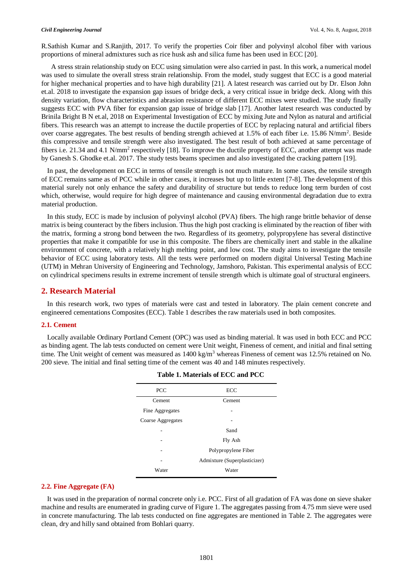R.Sathish Kumar and S.Ranjith, 2017. To verify the properties Coir fiber and polyvinyl alcohol fiber with various proportions of mineral admixtures such as rice husk ash and silica fume has been used in ECC [20].

A stress strain relationship study on ECC using simulation were also carried in past. In this work, a numerical model was used to simulate the overall stress strain relationship. From the model, study suggest that ECC is a good material for higher mechanical properties and to have high durability [21]. A latest research was carried out by Dr. Elson John et.al. 2018 to investigate the expansion gap issues of bridge deck, a very critical issue in bridge deck. Along with this density variation, flow characteristics and abrasion resistance of different ECC mixes were studied. The study finally suggests ECC with PVA fiber for expansion gap issue of bridge slab [17]. Another latest research was conducted by Brinila Bright B N et.al, 2018 on Experimental Investigation of ECC by mixing Jute and Nylon as natural and artificial fibers. This research was an attempt to increase the ductile properties of ECC by replacing natural and artificial fibers over coarse aggregates. The best results of bending strength achieved at 1.5% of each fiber i.e. 15.86 N/mm<sup>2</sup>. Beside this compressive and tensile strength were also investigated. The best result of both achieved at same percentage of fibers i.e. 21.34 and 4.1 N/mm<sup>2</sup> respectively [18]. To improve the ductile property of ECC, another attempt was made by Ganesh S. Ghodke et.al. 2017. The study tests beams specimen and also investigated the cracking pattern [19].

In past, the development on ECC in terms of tensile strength is not much mature. In some cases, the tensile strength of ECC remains same as of PCC while in other cases, it increases but up to little extent [7-8]. The development of this material surely not only enhance the safety and durability of structure but tends to reduce long term burden of cost which, otherwise, would require for high degree of maintenance and causing environmental degradation due to extra material production.

In this study, ECC is made by inclusion of polyvinyl alcohol (PVA) fibers. The high range brittle behavior of dense matrix is being counteract by the fibers inclusion. Thus the high post cracking is eliminated by the reaction of fiber with the matrix, forming a strong bond between the two. Regardless of its geometry, polypropylene has several distinctive properties that make it compatible for use in this composite. The fibers are chemically inert and stable in the alkaline environment of concrete, with a relatively high melting point, and low cost. The study aims to investigate the tensile behavior of ECC using laboratory tests. All the tests were performed on modern digital Universal Testing Machine (UTM) in Mehran University of Engineering and Technology, Jamshoro, Pakistan. This experimental analysis of ECC on cylindrical specimens results in extreme increment of tensile strength which is ultimate goal of structural engineers.

# **2. Research Material**

In this research work, two types of materials were cast and tested in laboratory. The plain cement concrete and engineered cementations Composites (ECC). Table 1 describes the raw materials used in both composites.

#### **2.1. Cement**

Locally available Ordinary Portland Cement (OPC) was used as binding material. It was used in both ECC and PCC as binding agent. The lab tests conducted on cement were Unit weight, Fineness of cement, and initial and final setting time. The Unit weight of cement was measured as  $1400 \text{ kg/m}^3$  whereas Fineness of cement was 12.5% retained on No. 200 sieve. The initial and final setting time of the cement was 40 and 148 minutes respectively.

| ECC                          |  |
|------------------------------|--|
| Cement                       |  |
|                              |  |
|                              |  |
| Sand                         |  |
| Fly Ash                      |  |
| Polypropylene Fiber          |  |
| Admixture (Superplasticizer) |  |
| Water                        |  |
|                              |  |

|  | Table 1. Materials of ECC and PCC |  |  |
|--|-----------------------------------|--|--|
|--|-----------------------------------|--|--|

#### **2.2. Fine Aggregate (FA)**

It was used in the preparation of normal concrete only i.e. PCC. First of all gradation of FA was done on sieve shaker machine and results are enumerated in grading curve of Figure 1. The aggregates passing from 4.75 mm sieve were used in concrete manufacturing. The lab tests conducted on fine aggregates are mentioned in Table 2. The aggregates were clean, dry and hilly sand obtained from Bohlari quarry.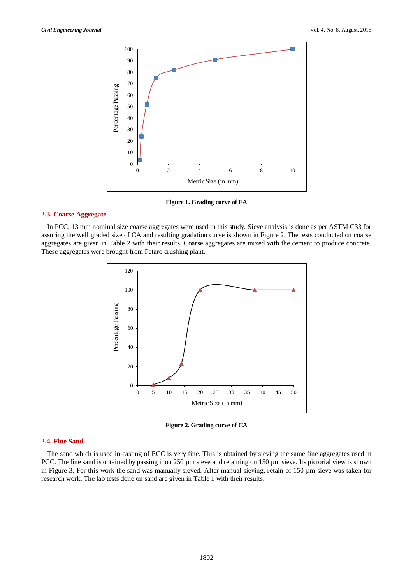

**Figure 1. Grading curve of FA**

#### **2.3. Coarse Aggregate**

In PCC, 13 mm nominal size coarse aggregates were used in this study. Sieve analysis is done as per ASTM C33 for assuring the well graded size of CA and resulting gradation curve is shown in Figure 2. The tests conducted on coarse aggregates are given in Table 2 with their results. Coarse aggregates are mixed with the cement to produce concrete. These aggregates were brought from Petaro crushing plant.



**Figure 2. Grading curve of CA**

## **2.4. Fine Sand**

The sand which is used in casting of ECC is very fine. This is obtained by sieving the same fine aggregates used in PCC. The fine sand is obtained by passing it on 250 µm sieve and retaining on 150 µm sieve. Its pictorial view is shown in Figure 3. For this work the sand was manually sieved. After manual sieving, retain of 150 µm sieve was taken for research work. The lab tests done on sand are given in Table 1 with their results.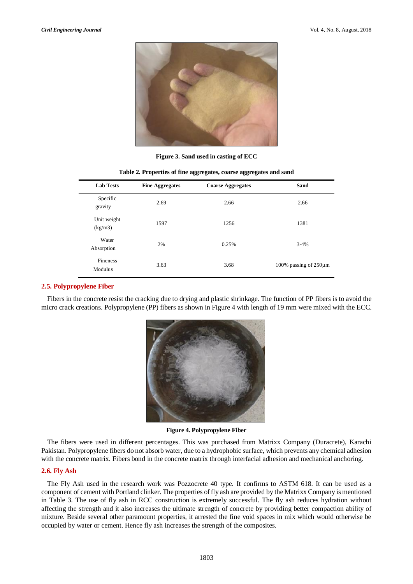

**Figure 3. Sand used in casting of ECC**

| <b>Lab Tests</b>       | <b>Fine Aggregates</b> | <b>Coarse Aggregates</b> | Sand                        |
|------------------------|------------------------|--------------------------|-----------------------------|
| Specific<br>gravity    | 2.69                   | 2.66                     | 2.66                        |
| Unit weight<br>(kg/m3) | 1597                   | 1256                     | 1381                        |
| Water<br>Absorption    | 2%                     | 0.25%                    | $3-4%$                      |
| Fineness<br>Modulus    | 3.63                   | 3.68                     | 100% passing of $250 \mu m$ |

**Table 2. Properties of fine aggregates, coarse aggregates and sand**

#### **2.5. Polypropylene Fiber**

Fibers in the concrete resist the cracking due to drying and plastic shrinkage. The function of PP fibers is to avoid the micro crack creations. Polypropylene (PP) fibers as shown in Figure 4 with length of 19 mm were mixed with the ECC.



**Figure 4. Polypropylene Fiber**

The fibers were used in different percentages. This was purchased from Matrixx Company (Duracrete), Karachi Pakistan. Polypropylene fibers do not absorb water, due to a hydrophobic surface, which prevents any chemical adhesion with the concrete matrix. Fibers bond in the concrete matrix through interfacial adhesion and mechanical anchoring.

#### **2.6. Fly Ash**

The Fly Ash used in the research work was Pozzocrete 40 type. It confirms to ASTM 618. It can be used as a component of cement with Portland clinker. The properties of fly ash are provided by the Matrixx Company is mentioned in Table 3. The use of fly ash in RCC construction is extremely successful. The fly ash reduces hydration without affecting the strength and it also increases the ultimate strength of concrete by providing better compaction ability of mixture. Beside several other paramount properties, it arrested the fine void spaces in mix which would otherwise be occupied by water or cement. Hence fly ash increases the strength of the composites.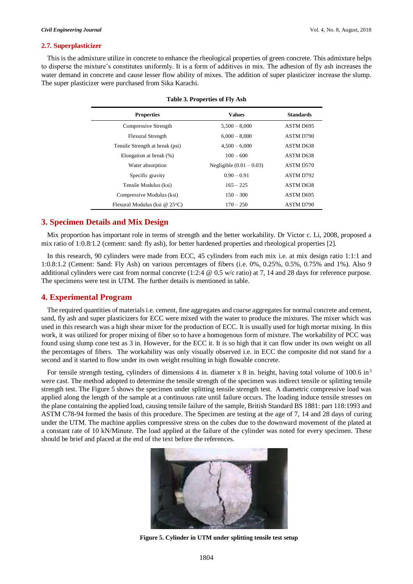#### **2.7. Superplasticizer**

This is the admixture utilize in concrete to enhance the rheological properties of green concrete. This admixture helps to disperse the mixture's constitutes uniformly. It is a form of additives in mix. The adhesion of fly ash increases the water demand in concrete and cause lesser flow ability of mixes. The addition of super plasticizer increase the slump. The super plasticizer were purchased from Sika Karachi.

| <b>Properties</b>               | <b>Values</b>              | <b>Standards</b> |
|---------------------------------|----------------------------|------------------|
| Compressive Strength            | $5,500 - 8,000$            | ASTM D695        |
| <b>Flexural Strength</b>        | $6,000 - 8,000$            | ASTM D790        |
| Tensile Strength at break (psi) | $4,500 - 6,000$            | ASTM D638        |
| Elongation at break (%)         | $100 - 600$                | ASTM D638        |
| Water absorption                | Negligible $(0.01 - 0.03)$ | ASTM D570        |
| Specific gravity                | $0.90 - 0.91$              | ASTM D792        |
| Tensile Modulus (ksi)           | $165 - 225$                | ASTM D638        |
| Compressive Modulus (ksi)       | $150 - 300$                | ASTM D695        |
| Flexural Modulus (ksi @ 25°C)   | $170 - 250$                | ASTM D790        |

| Table 3. Properties of Fly Ash |  |  |  |  |  |
|--------------------------------|--|--|--|--|--|
|--------------------------------|--|--|--|--|--|

# **3. Specimen Details and Mix Design**

Mix proportion has important role in terms of strength and the better workability. Dr Victor c. Li, 2008, proposed a mix ratio of 1:0.8:1.2 (cement: sand: fly ash), for better hardened properties and rheological properties [2].

In this research, 90 cylinders were made from ECC, 45 cylinders from each mix i.e. at mix design ratio 1:1:1 and 1:0.8:1.2 (Cement: Sand: Fly Ash) on various percentages of fibers (i.e. 0%, 0.25%, 0.5%, 0.75% and 1%). Also 9 additional cylinders were cast from normal concrete (1:2:4 @ 0.5 w/c ratio) at 7, 14 and 28 days for reference purpose. The specimens were test in UTM. The further details is mentioned in table.

# **4. Experimental Program**

The required quantities of materials i.e. cement, fine aggregates and coarse aggregates for normal concrete and cement, sand, fly ash and super plasticizers for ECC were mixed with the water to produce the mixtures. The mixer which was used in this research was a high shear mixer for the production of ECC. It is usually used for high mortar mixing. In this work, it was utilized for proper mixing of fiber so to have a homogenous form of mixture. The workability of PCC was found using slump cone test as 3 in. However, for the ECC it. It is so high that it can flow under its own weight on all the percentages of fibers. The workability was only visually observed i.e. in ECC the composite did not stand for a second and it started to flow under its own weight resulting in high flowable concrete.

For tensile strength testing, cylinders of dimensions 4 in. diameter x 8 in. height, having total volume of  $100.6$  in<sup>3</sup> were cast. The method adopted to determine the tensile strength of the specimen was indirect tensile or splitting tensile strength test. The Figure 5 shows the specimen under splitting tensile strength test. A diametric compressive load was applied along the length of the sample at a continuous rate until failure occurs. The loading induce tensile stresses on the plane containing the applied load, causing tensile failure of the sample, British Standard BS 1881: part 118:1993 and ASTM C78-94 formed the basis of this procedure. The Specimen are testing at the age of 7, 14 and 28 days of curing under the UTM. The machine applies compressive stress on the cubes due to the downward movement of the plated at a constant rate of 10 kN/Minute. The load applied at the failure of the cylinder was noted for every specimen. These should be brief and placed at the end of the text before the references.



**Figure 5. Cylinder in UTM under splitting tensile test setup**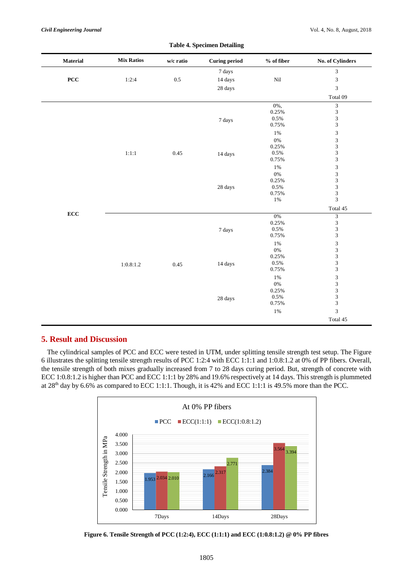| Material   | <b>Mix Ratios</b> | $w/c$ ratio | <b>Curing period</b> | $\%$ of fiber | No. of Cylinders            |
|------------|-------------------|-------------|----------------------|---------------|-----------------------------|
|            |                   |             | 7 days               |               | $\mathfrak{Z}$              |
| $\bf{PCC}$ | 1:2:4             | 0.5         | 14 days              | $\rm{Nil}$    | $\overline{\mathbf{3}}$     |
|            |                   |             | 28 days              |               | $\mathfrak{Z}$              |
|            |                   |             |                      |               | Total 09                    |
|            |                   |             |                      | $0\%$ ,       | $\mathfrak{Z}$              |
|            |                   |             |                      | 0.25%         | $\overline{\mathbf{3}}$     |
|            |                   |             | 7 days               | 0.5%          | $\sqrt{3}$                  |
|            |                   |             |                      | 0.75%         | $\mathfrak{Z}$              |
|            |                   |             |                      | $1\%$         | $\ensuremath{\mathfrak{Z}}$ |
|            |                   |             |                      | $0\%$         | $\mathfrak{Z}$              |
|            |                   |             |                      | 0.25%         | $\overline{3}$              |
|            | $1:1:1$           | 0.45        | 14 days              | 0.5%          | $\mathfrak{Z}$              |
|            |                   |             |                      | 0.75%         | $\sqrt{3}$                  |
|            |                   |             |                      | $1\%$         | $\sqrt{3}$                  |
|            |                   |             |                      | $0\%$         | $\mathfrak{Z}$              |
|            |                   |             |                      | 0.25%         | $\overline{\mathbf{3}}$     |
|            |                   |             | 28 days              | $0.5\%$       | $\mathfrak{Z}$              |
|            |                   |             |                      | 0.75%         | $\frac{3}{3}$               |
|            |                   |             |                      | $1\%$         |                             |
|            |                   |             |                      |               | Total 45                    |
| $\bf{ECC}$ |                   |             |                      | $0\%$         | $\overline{3}$              |
|            |                   |             |                      | 0.25%         | $\overline{\mathbf{3}}$     |
|            |                   |             | 7 days               | $0.5\%$       | $\sqrt{3}$                  |
|            |                   |             |                      | 0.75%         | $\mathfrak{Z}$              |
|            |                   |             |                      | $1\%$         | $\ensuremath{\mathfrak{Z}}$ |
|            |                   |             |                      | $0\%$         | $\mathfrak{Z}$              |
|            |                   |             |                      | 0.25%         | $\mathfrak{Z}$              |
|            | 1:0.8:1.2         | 0.45        | 14 days              | 0.5%          | $\overline{\mathbf{3}}$     |
|            |                   |             |                      | 0.75%         | $\mathfrak{Z}$              |
|            |                   |             |                      | $1\%$         | $\sqrt{3}$                  |
|            |                   |             |                      | $0\%$         | $\mathfrak{Z}$              |
|            |                   |             |                      | 0.25%         | $\overline{\mathbf{3}}$     |
|            |                   |             | $28\;{\rm days}$     | $0.5\%$       | $\sqrt{3}$                  |
|            |                   |             |                      | 0.75%         | $\ensuremath{\mathfrak{Z}}$ |
|            |                   |             |                      | $1\%$         | $\mathfrak{Z}$              |
|            |                   |             |                      |               | Total 45                    |

### **Table 4. Specimen Detailing**

# **5. Result and Discussion**

The cylindrical samples of PCC and ECC were tested in UTM, under splitting tensile strength test setup. The Figure 6 illustrates the splitting tensile strength results of PCC 1:2:4 with ECC 1:1:1 and 1:0.8:1.2 at 0% of PP fibers. Overall, the tensile strength of both mixes gradually increased from 7 to 28 days curing period. But, strength of concrete with ECC 1:0.8:1.2 is higher than PCC and ECC 1:1:1 by 28% and 19.6% respectively at 14 days. This strength is plummeted at 28th day by 6.6% as compared to ECC 1:1:1. Though, it is 42% and ECC 1:1:1 is 49.5% more than the PCC.



**Figure 6. Tensile Strength of PCC (1:2:4), ECC (1:1:1) and ECC (1:0.8:1.2) @ 0% PP fibres**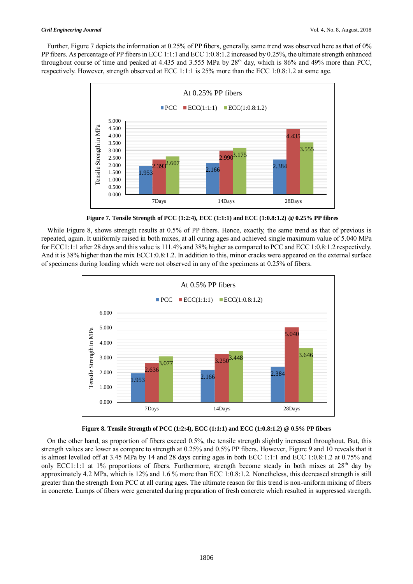#### *Civil Engineering Journal* Vol. 4, No. 8, August, 2018

Further, Figure 7 depicts the information at 0.25% of PP fibers, generally, same trend was observed here as that of 0% PP fibers. As percentage of PP fibersin ECC 1:1:1 and ECC 1:0.8:1.2 increased by 0.25%, the ultimate strength enhanced throughout course of time and peaked at 4.435 and 3.555 MPa by 28<sup>th</sup> day, which is 86% and 49% more than PCC, respectively. However, strength observed at ECC 1:1:1 is 25% more than the ECC 1:0.8:1.2 at same age.



**Figure 7. Tensile Strength of PCC (1:2:4), ECC (1:1:1) and ECC (1:0.8:1.2) @ 0.25% PP fibres**

While Figure 8, shows strength results at 0.5% of PP fibers. Hence, exactly, the same trend as that of previous is repeated, again. It uniformly raised in both mixes, at all curing ages and achieved single maximum value of 5.040 MPa for ECC1:1:1 after 28 days and this value is 111.4% and 38% higher as compared to PCC and ECC 1:0.8:1.2 respectively. And it is 38% higher than the mix ECC1:0.8:1.2. In addition to this, minor cracks were appeared on the external surface of specimens during loading which were not observed in any of the specimens at 0.25% of fibers.



**Figure 8. Tensile Strength of PCC (1:2:4), ECC (1:1:1) and ECC (1:0.8:1.2) @ 0.5% PP fibers**

On the other hand, as proportion of fibers exceed 0.5%, the tensile strength slightly increased throughout. But, this strength values are lower as compare to strength at 0.25% and 0.5% PP fibers. However, Figure 9 and 10 reveals that it is almost levelled off at 3.45 MPa by 14 and 28 days curing ages in both ECC 1:1:1 and ECC 1:0.8:1.2 at 0.75% and only ECC1:1:1 at 1% proportions of fibers. Furthermore, strength become steady in both mixes at  $28<sup>th</sup>$  day by approximately 4.2 MPa, which is 12% and 1.6 % more than ECC 1:0.8:1.2. Nonetheless, this decreased strength is still greater than the strength from PCC at all curing ages. The ultimate reason for this trend is non-uniform mixing of fibers in concrete. Lumps of fibers were generated during preparation of fresh concrete which resulted in suppressed strength.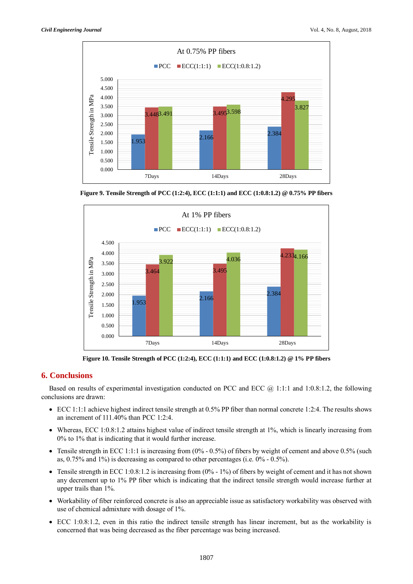





**Figure 10. Tensile Strength of PCC (1:2:4), ECC (1:1:1) and ECC (1:0.8:1.2) @ 1% PP fibers**

# **6. Conclusions**

Based on results of experimental investigation conducted on PCC and ECC  $@$  1:1:1 and 1:0.8:1.2, the following conclusions are drawn:

- ECC 1:1:1 achieve highest indirect tensile strength at 0.5% PP fiber than normal concrete 1:2:4. The results shows an increment of 111.40% than PCC 1:2:4.
- Whereas, ECC 1:0.8:1.2 attains highest value of indirect tensile strength at 1%, which is linearly increasing from 0% to 1% that is indicating that it would further increase.
- Tensile strength in ECC 1:1:1 is increasing from  $(0\% 0.5\%)$  of fibers by weight of cement and above 0.5% (such as, 0.75% and 1%) is decreasing as compared to other percentages (i.e. 0% - 0.5%).
- Tensile strength in ECC 1:0.8:1.2 is increasing from  $(0\% 1\%)$  of fibers by weight of cement and it has not shown any decrement up to 1% PP fiber which is indicating that the indirect tensile strength would increase further at upper trails than 1%.
- Workability of fiber reinforced concrete is also an appreciable issue as satisfactory workability was observed with use of chemical admixture with dosage of 1%.
- ECC 1:0.8:1.2, even in this ratio the indirect tensile strength has linear increment, but as the workability is concerned that was being decreased as the fiber percentage was being increased.